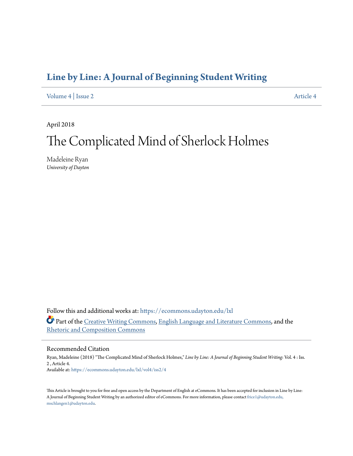### **[Line by Line: A Journal of Beginning Student Writing](https://ecommons.udayton.edu/lxl?utm_source=ecommons.udayton.edu%2Flxl%2Fvol4%2Fiss2%2F4&utm_medium=PDF&utm_campaign=PDFCoverPages)**

[Volume 4](https://ecommons.udayton.edu/lxl/vol4?utm_source=ecommons.udayton.edu%2Flxl%2Fvol4%2Fiss2%2F4&utm_medium=PDF&utm_campaign=PDFCoverPages) | [Issue 2](https://ecommons.udayton.edu/lxl/vol4/iss2?utm_source=ecommons.udayton.edu%2Flxl%2Fvol4%2Fiss2%2F4&utm_medium=PDF&utm_campaign=PDFCoverPages) [Article 4](https://ecommons.udayton.edu/lxl/vol4/iss2/4?utm_source=ecommons.udayton.edu%2Flxl%2Fvol4%2Fiss2%2F4&utm_medium=PDF&utm_campaign=PDFCoverPages)

April 2018

# The Complicated Mind of Sherlock Holmes

Madeleine Ryan *University of Dayton*

Follow this and additional works at: [https://ecommons.udayton.edu/lxl](https://ecommons.udayton.edu/lxl?utm_source=ecommons.udayton.edu%2Flxl%2Fvol4%2Fiss2%2F4&utm_medium=PDF&utm_campaign=PDFCoverPages) Part of the [Creative Writing Commons](http://network.bepress.com/hgg/discipline/574?utm_source=ecommons.udayton.edu%2Flxl%2Fvol4%2Fiss2%2F4&utm_medium=PDF&utm_campaign=PDFCoverPages), [English Language and Literature Commons](http://network.bepress.com/hgg/discipline/455?utm_source=ecommons.udayton.edu%2Flxl%2Fvol4%2Fiss2%2F4&utm_medium=PDF&utm_campaign=PDFCoverPages), and the [Rhetoric and Composition Commons](http://network.bepress.com/hgg/discipline/573?utm_source=ecommons.udayton.edu%2Flxl%2Fvol4%2Fiss2%2F4&utm_medium=PDF&utm_campaign=PDFCoverPages)

### Recommended Citation

Ryan, Madeleine (2018) "The Complicated Mind of Sherlock Holmes," *Line by Line: A Journal of Beginning Student Writing*: Vol. 4 : Iss. 2 , Article 4. Available at: [https://ecommons.udayton.edu/lxl/vol4/iss2/4](https://ecommons.udayton.edu/lxl/vol4/iss2/4?utm_source=ecommons.udayton.edu%2Flxl%2Fvol4%2Fiss2%2F4&utm_medium=PDF&utm_campaign=PDFCoverPages)

This Article is brought to you for free and open access by the Department of English at eCommons. It has been accepted for inclusion in Line by Line: A Journal of Beginning Student Writing by an authorized editor of eCommons. For more information, please contact [frice1@udayton.edu,](mailto:frice1@udayton.edu,%20mschlangen1@udayton.edu) [mschlangen1@udayton.edu.](mailto:frice1@udayton.edu,%20mschlangen1@udayton.edu)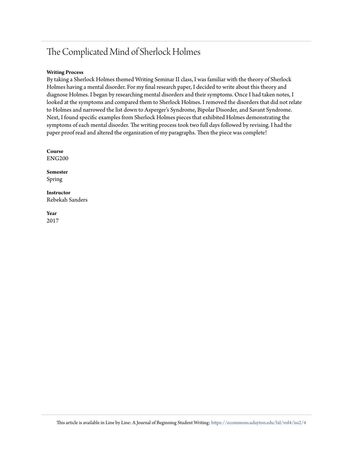## The Complicated Mind of Sherlock Holmes

### **Writing Process**

By taking a Sherlock Holmes themed Writing Seminar II class, I was familiar with the theory of Sherlock Holmes having a mental disorder. For my final research paper, I decided to write about this theory and diagnose Holmes. I began by researching mental disorders and their symptoms. Once I had taken notes, I looked at the symptoms and compared them to Sherlock Holmes. I removed the disorders that did not relate to Holmes and narrowed the list down to Asperger's Syndrome, Bipolar Disorder, and Savant Syndrome. Next, I found specific examples from Sherlock Holmes pieces that exhibited Holmes demonstrating the symptoms of each mental disorder. The writing process took two full days followed by revising. I had the paper proof read and altered the organization of my paragraphs. Then the piece was complete!

**Course** ENG200

**Semester** Spring

**Instructor** Rebekah Sanders

**Year** 2017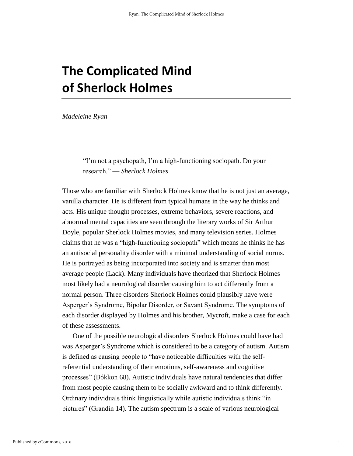## **The Complicated Mind of Sherlock Holmes**

*Madeleine Ryan*

"I'm not a psychopath, I'm a high-functioning sociopath. Do your research." — *Sherlock Holmes*

Those who are familiar with Sherlock Holmes know that he is not just an average, vanilla character. He is different from typical humans in the way he thinks and acts. His unique thought processes, extreme behaviors, severe reactions, and abnormal mental capacities are seen through the literary works of Sir Arthur Doyle, popular Sherlock Holmes movies, and many television series. Holmes claims that he was a "high-functioning sociopath" which means he thinks he has an antisocial personality disorder with a minimal understanding of social norms. He is portrayed as being incorporated into society and is smarter than most average people (Lack). Many individuals have theorized that Sherlock Holmes most likely had a neurological disorder causing him to act differently from a normal person. Three disorders Sherlock Holmes could plausibly have were Asperger's Syndrome, Bipolar Disorder, or Savant Syndrome. The symptoms of each disorder displayed by Holmes and his brother, Mycroft, make a case for each of these assessments.

One of the possible neurological disorders Sherlock Holmes could have had was Asperger's Syndrome which is considered to be a category of autism. Autism is defined as causing people to "have noticeable difficulties with the selfreferential understanding of their emotions, self-awareness and cognitive processes" (Bókkon 68). Autistic individuals have natural tendencies that differ from most people causing them to be socially awkward and to think differently. Ordinary individuals think linguistically while autistic individuals think "in pictures" (Grandin 14). The autism spectrum is a scale of various neurological

1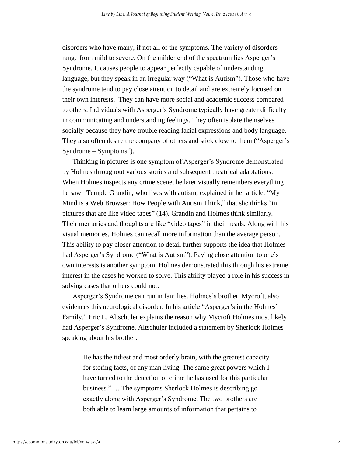disorders who have many, if not all of the symptoms. The variety of disorders range from mild to severe. On the milder end of the spectrum lies Asperger's Syndrome. It causes people to appear perfectly capable of understanding language, but they speak in an irregular way ("What is Autism"). Those who have the syndrome tend to pay close attention to detail and are extremely focused on their own interests. They can have more social and academic success compared to others. Individuals with Asperger's Syndrome typically have greater difficulty in communicating and understanding feelings. They often isolate themselves socially because they have trouble reading facial expressions and body language. They also often desire the company of others and stick close to them ("Asperger's Syndrome – Symptoms").

Thinking in pictures is one symptom of Asperger's Syndrome demonstrated by Holmes throughout various stories and subsequent theatrical adaptations. When Holmes inspects any crime scene, he later visually remembers everything he saw. Temple Grandin, who lives with autism, explained in her article, "My Mind is a Web Browser: How People with Autism Think," that she thinks "in pictures that are like video tapes" (14). Grandin and Holmes think similarly. Their memories and thoughts are like "video tapes" in their heads. Along with his visual memories, Holmes can recall more information than the average person. This ability to pay closer attention to detail further supports the idea that Holmes had Asperger's Syndrome ("What is Autism"). Paying close attention to one's own interests is another symptom. Holmes demonstrated this through his extreme interest in the cases he worked to solve. This ability played a role in his success in solving cases that others could not.

Asperger's Syndrome can run in families. Holmes's brother, Mycroft, also evidences this neurological disorder. In his article "Asperger's in the Holmes' Family," Eric L. Altschuler explains the reason why Mycroft Holmes most likely had Asperger's Syndrome. Altschuler included a statement by Sherlock Holmes speaking about his brother:

He has the tidiest and most orderly brain, with the greatest capacity for storing facts, of any man living. The same great powers which I have turned to the detection of crime he has used for this particular business." … The symptoms Sherlock Holmes is describing go exactly along with Asperger's Syndrome. The two brothers are both able to learn large amounts of information that pertains to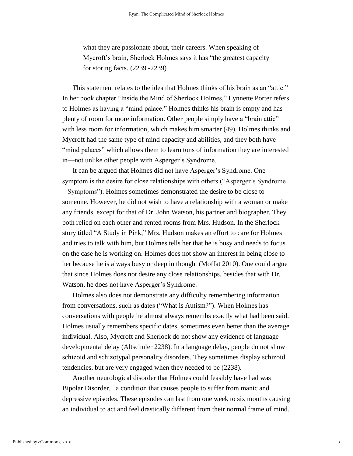what they are passionate about, their careers. When speaking of Mycroft's brain, Sherlock Holmes says it has "the greatest capacity for storing facts. (2239 -2239)

This statement relates to the idea that Holmes thinks of his brain as an "attic." In her book chapter "Inside the Mind of Sherlock Holmes," Lynnette Porter refers to Holmes as having a "mind palace." Holmes thinks his brain is empty and has plenty of room for more information. Other people simply have a "brain attic" with less room for information, which makes him smarter (49). Holmes thinks and Mycroft had the same type of mind capacity and abilities, and they both have "mind palaces" which allows them to learn tons of information they are interested in—not unlike other people with Asperger's Syndrome.

It can be argued that Holmes did not have Asperger's Syndrome. One symptom is the desire for close relationships with others ("Asperger's Syndrome – Symptoms"). Holmes sometimes demonstrated the desire to be close to someone. However, he did not wish to have a relationship with a woman or make any friends, except for that of Dr. John Watson, his partner and biographer. They both relied on each other and rented rooms from Mrs. Hudson. In the Sherlock story titled "A Study in Pink," Mrs. Hudson makes an effort to care for Holmes and tries to talk with him, but Holmes tells her that he is busy and needs to focus on the case he is working on. Holmes does not show an interest in being close to her because he is always busy or deep in thought (Moffat 2010). One could argue that since Holmes does not desire any close relationships, besides that with Dr. Watson, he does not have Asperger's Syndrome.

Holmes also does not demonstrate any difficulty remembering information from conversations, such as dates ("What is Autism?"). When Holmes has conversations with people he almost always remembs exactly what had been said. Holmes usually remembers specific dates, sometimes even better than the average individual. Also, Mycroft and Sherlock do not show any evidence of language developmental delay (Altschuler 2238). In a language delay, people do not show schizoid and schizotypal personality disorders. They sometimes display schizoid tendencies, but are very engaged when they needed to be (2238).

Another neurological disorder that Holmes could feasibly have had was Bipolar Disorder, a condition that causes people to suffer from manic and depressive episodes. These episodes can last from one week to six months causing an individual to act and feel drastically different from their normal frame of mind.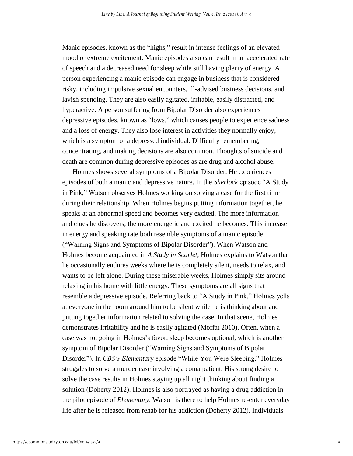Manic episodes, known as the "highs," result in intense feelings of an elevated mood or extreme excitement. Manic episodes also can result in an accelerated rate of speech and a decreased need for sleep while still having plenty of energy. A person experiencing a manic episode can engage in business that is considered risky, including impulsive sexual encounters, ill-advised business decisions, and lavish spending. They are also easily agitated, irritable, easily distracted, and hyperactive. A person suffering from Bipolar Disorder also experiences depressive episodes, known as "lows," which causes people to experience sadness and a loss of energy. They also lose interest in activities they normally enjoy, which is a symptom of a depressed individual. Difficulty remembering, concentrating, and making decisions are also common. Thoughts of suicide and death are common during depressive episodes as are drug and alcohol abuse.

Holmes shows several symptoms of a Bipolar Disorder. He experiences episodes of both a manic and depressive nature. In the *Sherlock* episode "A Study in Pink," Watson observes Holmes working on solving a case for the first time during their relationship. When Holmes begins putting information together, he speaks at an abnormal speed and becomes very excited. The more information and clues he discovers, the more energetic and excited he becomes. This increase in energy and speaking rate both resemble symptoms of a manic episode ("Warning Signs and Symptoms of Bipolar Disorder"). When Watson and Holmes become acquainted in *A Study in Scarlet*, Holmes explains to Watson that he occasionally endures weeks where he is completely silent, needs to relax, and wants to be left alone. During these miserable weeks, Holmes simply sits around relaxing in his home with little energy. These symptoms are all signs that resemble a depressive episode. Referring back to "A Study in Pink," Holmes yells at everyone in the room around him to be silent while he is thinking about and putting together information related to solving the case. In that scene, Holmes demonstrates irritability and he is easily agitated (Moffat 2010). Often, when a case was not going in Holmes's favor, sleep becomes optional, which is another symptom of Bipolar Disorder ("Warning Signs and Symptoms of Bipolar Disorder"). In *CBS's Elementary* episode "While You Were Sleeping," Holmes struggles to solve a murder case involving a coma patient. His strong desire to solve the case results in Holmes staying up all night thinking about finding a solution (Doherty 2012). Holmes is also portrayed as having a drug addiction in the pilot episode of *Elementary*. Watson is there to help Holmes re-enter everyday life after he is released from rehab for his addiction (Doherty 2012). Individuals

4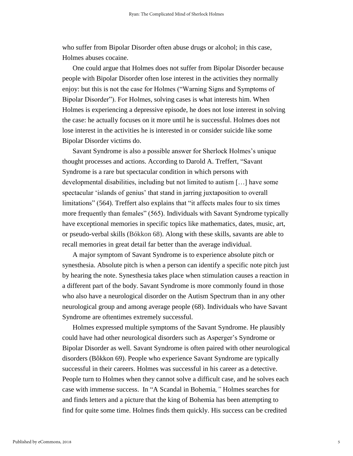who suffer from Bipolar Disorder often abuse drugs or alcohol; in this case, Holmes abuses cocaine.

One could argue that Holmes does not suffer from Bipolar Disorder because people with Bipolar Disorder often lose interest in the activities they normally enjoy: but this is not the case for Holmes ("Warning Signs and Symptoms of Bipolar Disorder"). For Holmes, solving cases is what interests him. When Holmes is experiencing a depressive episode, he does not lose interest in solving the case: he actually focuses on it more until he is successful. Holmes does not lose interest in the activities he is interested in or consider suicide like some Bipolar Disorder victims do.

Savant Syndrome is also a possible answer for Sherlock Holmes's unique thought processes and actions. According to Darold A. Treffert, "Savant Syndrome is a rare but spectacular condition in which persons with developmental disabilities, including but not limited to autism […] have some spectacular 'islands of genius' that stand in jarring juxtaposition to overall limitations" (564). Treffert also explains that "it affects males four to six times more frequently than females" (565). Individuals with Savant Syndrome typically have exceptional memories in specific topics like mathematics, dates, music, art, or pseudo-verbal skills (Bókkon 68). Along with these skills, savants are able to recall memories in great detail far better than the average individual.

A major symptom of Savant Syndrome is to experience absolute pitch or synesthesia. Absolute pitch is when a person can identify a specific note pitch just by hearing the note. Synesthesia takes place when stimulation causes a reaction in a different part of the body. Savant Syndrome is more commonly found in those who also have a neurological disorder on the Autism Spectrum than in any other neurological group and among average people (68). Individuals who have Savant Syndrome are oftentimes extremely successful.

Holmes expressed multiple symptoms of the Savant Syndrome. He plausibly could have had other neurological disorders such as Asperger's Syndrome or Bipolar Disorder as well. Savant Syndrome is often paired with other neurological disorders (Bôkkon 69). People who experience Savant Syndrome are typically successful in their careers. Holmes was successful in his career as a detective. People turn to Holmes when they cannot solve a difficult case, and he solves each case with immense success. In "A Scandal in Bohemia*,"* Holmes searches for and finds letters and a picture that the king of Bohemia has been attempting to find for quite some time. Holmes finds them quickly. His success can be credited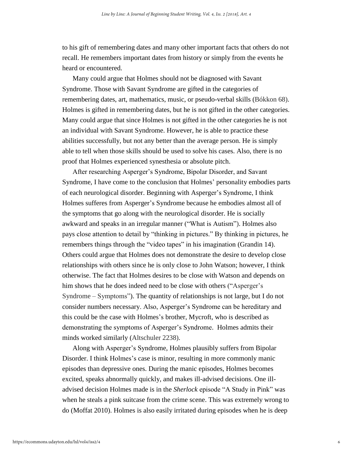to his gift of remembering dates and many other important facts that others do not recall. He remembers important dates from history or simply from the events he heard or encountered.

Many could argue that Holmes should not be diagnosed with Savant Syndrome. Those with Savant Syndrome are gifted in the categories of remembering dates, art, mathematics, music, or pseudo-verbal skills (Bókkon 68). Holmes is gifted in remembering dates, but he is not gifted in the other categories. Many could argue that since Holmes is not gifted in the other categories he is not an individual with Savant Syndrome. However, he is able to practice these abilities successfully, but not any better than the average person. He is simply able to tell when those skills should be used to solve his cases. Also, there is no proof that Holmes experienced synesthesia or absolute pitch.

After researching Asperger's Syndrome, Bipolar Disorder, and Savant Syndrome, I have come to the conclusion that Holmes' personality embodies parts of each neurological disorder. Beginning with Asperger's Syndrome, I think Holmes sufferes from Asperger's Syndrome because he embodies almost all of the symptoms that go along with the neurological disorder. He is socially awkward and speaks in an irregular manner ("What is Autism"). Holmes also pays close attention to detail by "thinking in pictures." By thinking in pictures, he remembers things through the "video tapes" in his imagination (Grandin 14). Others could argue that Holmes does not demonstrate the desire to develop close relationships with others since he is only close to John Watson; however, I think otherwise. The fact that Holmes desires to be close with Watson and depends on him shows that he does indeed need to be close with others ("Asperger's Syndrome – Symptoms"). The quantity of relationships is not large, but I do not consider numbers necessary. Also, Asperger's Syndrome can be hereditary and this could be the case with Holmes's brother, Mycroft, who is described as demonstrating the symptoms of Asperger's Syndrome. Holmes admits their minds worked similarly (Altschuler 2238).

Along with Asperger's Syndrome, Holmes plausibly suffers from Bipolar Disorder. I think Holmes's case is minor, resulting in more commonly manic episodes than depressive ones. During the manic episodes, Holmes becomes excited, speaks abnormally quickly, and makes ill-advised decisions. One illadvised decision Holmes made is in the *Sherlock* episode "A Study in Pink" was when he steals a pink suitcase from the crime scene. This was extremely wrong to do (Moffat 2010). Holmes is also easily irritated during episodes when he is deep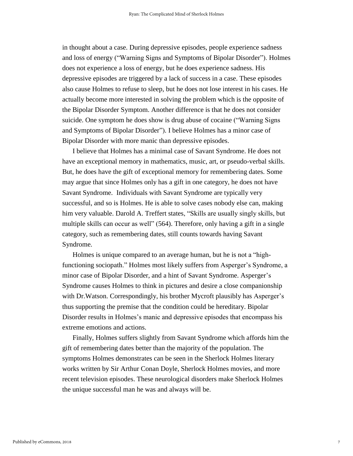in thought about a case. During depressive episodes, people experience sadness and loss of energy ("Warning Signs and Symptoms of Bipolar Disorder"). Holmes does not experience a loss of energy, but he does experience sadness. His depressive episodes are triggered by a lack of success in a case. These episodes also cause Holmes to refuse to sleep, but he does not lose interest in his cases. He actually become more interested in solving the problem which is the opposite of the Bipolar Disorder Symptom. Another difference is that he does not consider suicide. One symptom he does show is drug abuse of cocaine ("Warning Signs and Symptoms of Bipolar Disorder"). I believe Holmes has a minor case of Bipolar Disorder with more manic than depressive episodes.

I believe that Holmes has a minimal case of Savant Syndrome. He does not have an exceptional memory in mathematics, music, art, or pseudo-verbal skills. But, he does have the gift of exceptional memory for remembering dates. Some may argue that since Holmes only has a gift in one category, he does not have Savant Syndrome. Individuals with Savant Syndrome are typically very successful, and so is Holmes. He is able to solve cases nobody else can, making him very valuable. Darold A. Treffert states, "Skills are usually singly skills, but multiple skills can occur as well" (564). Therefore, only having a gift in a single category, such as remembering dates, still counts towards having Savant Syndrome.

Holmes is unique compared to an average human, but he is not a "highfunctioning sociopath." Holmes most likely suffers from Asperger's Syndrome, a minor case of Bipolar Disorder, and a hint of Savant Syndrome. Asperger's Syndrome causes Holmes to think in pictures and desire a close companionship with Dr.Watson. Correspondingly, his brother Mycroft plausibly has Asperger's thus supporting the premise that the condition could be hereditary. Bipolar Disorder results in Holmes's manic and depressive episodes that encompass his extreme emotions and actions.

Finally, Holmes suffers slightly from Savant Syndrome which affords him the gift of remembering dates better than the majority of the population. The symptoms Holmes demonstrates can be seen in the Sherlock Holmes literary works written by Sir Arthur Conan Doyle, Sherlock Holmes movies, and more recent television episodes. These neurological disorders make Sherlock Holmes the unique successful man he was and always will be.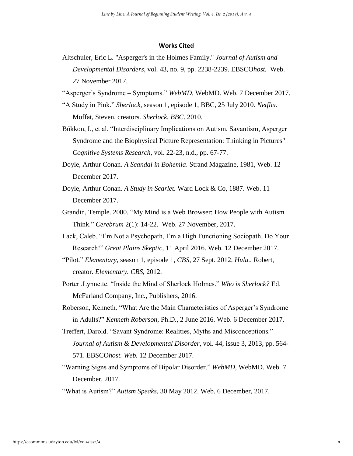#### **Works Cited**

- Altschuler, Eric L. "Asperger's in the Holmes Family." *Journal of Autism and Developmental Disorders,* vol. 43, no. 9, pp. 2238-2239. EBSCO*host.* Web. 27 November 2017.
- "Asperger's Syndrome Symptoms." *WebMD,* WebMD. Web. 7 December 2017.
- "A Study in Pink." *Sherlock,* season 1, episode 1, BBC, 25 July 2010. *Netflix.*  Moffat, Steven, creators. *Sherlock. BBC*. 2010.
- Bókkon, I., et al. "Interdisciplinary Implications on Autism, Savantism, Asperger Syndrome and the Biophysical Picture Representation: Thinking in Pictures" *Cognitive Systems Research,* vol. 22-23, n.d., pp. 67-77.
- Doyle, Arthur Conan. *A Scandal in Bohemia*. Strand Magazine, 1981, Web. 12 December 2017.
- Doyle, Arthur Conan. *A Study in Scarlet.* Ward Lock & Co, 1887. Web. 11 December 2017.
- Grandin, Temple. 2000. "My Mind is a Web Browser: How People with Autism Think." *Cerebrum* 2(1): 14-22. Web. 27 November, 2017.
- Lack, Caleb. "I'm Not a Psychopath, I'm a High Functioning Sociopath. Do Your Research!" *Great Plains Skeptic,* 11 April 2016. Web. 12 December 2017.
- "Pilot." *Elementary,* season 1, episode 1, *CBS*, 27 Sept. 2012, *Hulu.*, Robert, creator. *Elementary. CBS*, 2012.
- Porter ,Lynnette. "Inside the Mind of Sherlock Holmes." *Who is Sherlock?* Ed. McFarland Company, Inc., Publishers, 2016.
- Roberson, Kenneth. "What Are the Main Characteristics of Asperger's Syndrome in Adults?" *Kenneth Roberson,* Ph.D., 2 June 2016. Web. 6 December 2017.
- Treffert, Darold. "Savant Syndrome: Realities, Myths and Misconceptions." *Journal of Autism & Developmental Disorder,* vol. 44, issue 3, 2013, pp. 564- 571. EBSCO*host. Web.* 12 December 2017.
- "Warning Signs and Symptoms of Bipolar Disorder." *WebMD,* WebMD. Web. 7 December, 2017.

<sup>&</sup>quot;What is Autism?" *Autism Speaks,* 30 May 2012. Web. 6 December, 2017.